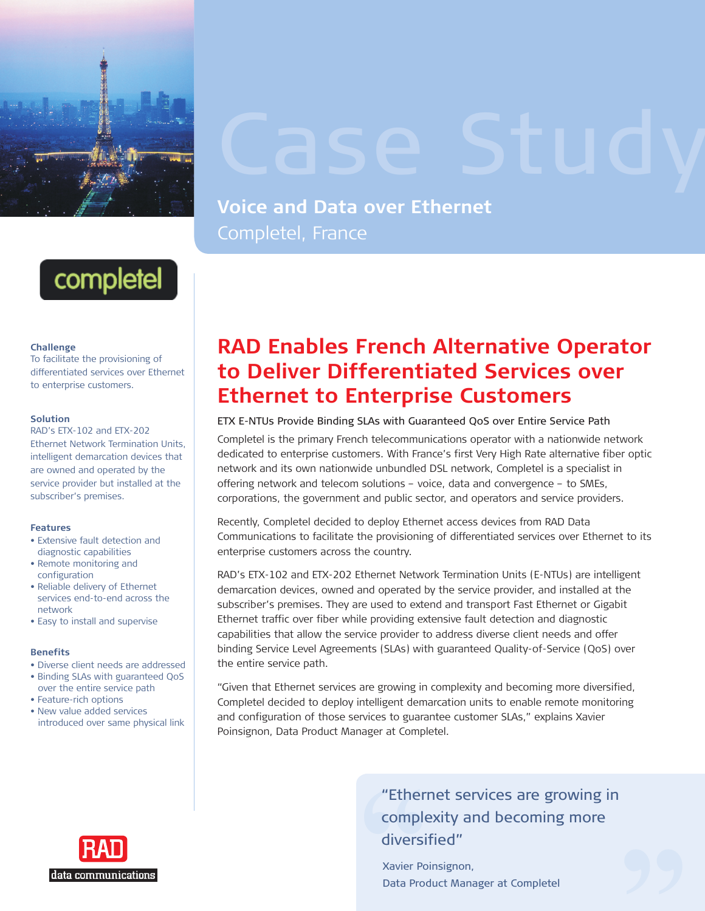

## **Voice and Data over Ethernet** Completel, France



### **Challenge**

To facilitate the provisioning of differentiated services over Ethernet to enterprise customers.

## **Solution**

RAD's ETX-102 and ETX-202 Ethernet Network Termination Units, intelligent demarcation devices that are owned and operated by the service provider but installed at the subscriber's premises.

### **Features**

- Extensive fault detection and diagnostic capabilities
- Remote monitoring and configuration
- Reliable delivery of Ethernet services end-to-end across the network
- Easy to install and supervise

## **Benefits**

- Diverse client needs are addressed
- Binding SLAs with guaranteed QoS over the entire service path
- Feature-rich options
- New value added services introduced over same physical link

# data communications

## **RAD Enables French Alternative Operator to Deliver Differentiated Services over Ethernet to Enterprise Customers**

Completel is the primary French telecommunications operator with a nationwide network dedicated to enterprise customers. With France's first Very High Rate alternative fiber optic network and its own nationwide unbundled DSL network, Completel is a specialist in offering network and telecom solutions – voice, data and convergence – to SMEs, corporations, the government and public sector, and operators and service providers. ETX E-NTUs Provide Binding SLAs with Guaranteed QoS over Entire Service Path

Recently, Completel decided to deploy Ethernet access devices from RAD Data Communications to facilitate the provisioning of differentiated services over Ethernet to its enterprise customers across the country.

RAD's ETX-102 and ETX-202 Ethernet Network Termination Units (E-NTUs) are intelligent demarcation devices, owned and operated by the service provider, and installed at the subscriber's premises. They are used to extend and transport Fast Ethernet or Gigabit Ethernet traffic over fiber while providing extensive fault detection and diagnostic capabilities that allow the service provider to address diverse client needs and offer binding Service Level Agreements (SLAs) with guaranteed Quality-of-Service (QoS) over the entire service path. re used to exte<br>
le providing ex<br>
vice provider te<br>
ents (SLAs) wit<br>
are growing in<br>
are growing in<br>
mtelligent dem<br>
rvices to guara<br>
nager at Compl

"Given that Ethernet services are growing in complexity and becoming more diversified, Completel decided to deploy intelligent demarcation units to enable remote monitoring and configuration of those services to guarantee customer SLAs," explains Xavier Poinsignon, Data Product Manager at Completel.

> "Ethernet services are growing in complexity and becoming more diversified"

Xavier Poinsignon, Data Product Manager at Completel